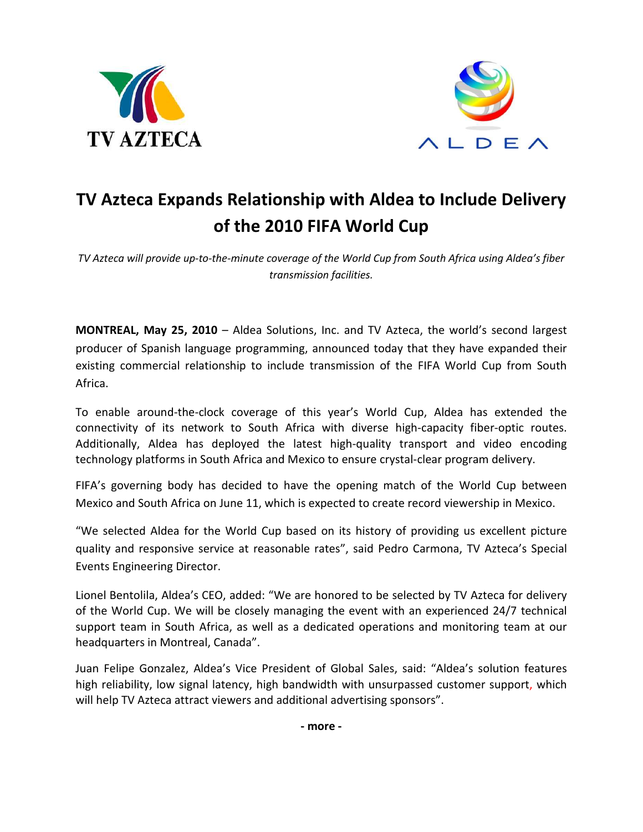



## **TV Azteca Expands Relationship with Aldea to Include Delivery of the 2010 FIFA World Cup**

*TV Azteca will provide up-to-the-minute coverage of the World Cup from South Africa using Aldea's fiber transmission facilities.* 

**MONTREAL, May 25, 2010** – Aldea Solutions, Inc. and TV Azteca, the world's second largest producer of Spanish language programming, announced today that they have expanded their existing commercial relationship to include transmission of the FIFA World Cup from South Africa.

To enable around-the-clock coverage of this year's World Cup, Aldea has extended the connectivity of its network to South Africa with diverse high-capacity fiber-optic routes. Additionally, Aldea has deployed the latest high-quality transport and video encoding technology platforms in South Africa and Mexico to ensure crystal-clear program delivery.

FIFA's governing body has decided to have the opening match of the World Cup between Mexico and South Africa on June 11, which is expected to create record viewership in Mexico.

"We selected Aldea for the World Cup based on its history of providing us excellent picture quality and responsive service at reasonable rates", said Pedro Carmona, TV Azteca's Special Events Engineering Director.

Lionel Bentolila, Aldea's CEO, added: "We are honored to be selected by TV Azteca for delivery of the World Cup. We will be closely managing the event with an experienced 24/7 technical support team in South Africa, as well as a dedicated operations and monitoring team at our headquarters in Montreal, Canada".

Juan Felipe Gonzalez, Aldea's Vice President of Global Sales, said: "Aldea's solution features high reliability, low signal latency, high bandwidth with unsurpassed customer support, which will help TV Azteca attract viewers and additional advertising sponsors".

**- more -**